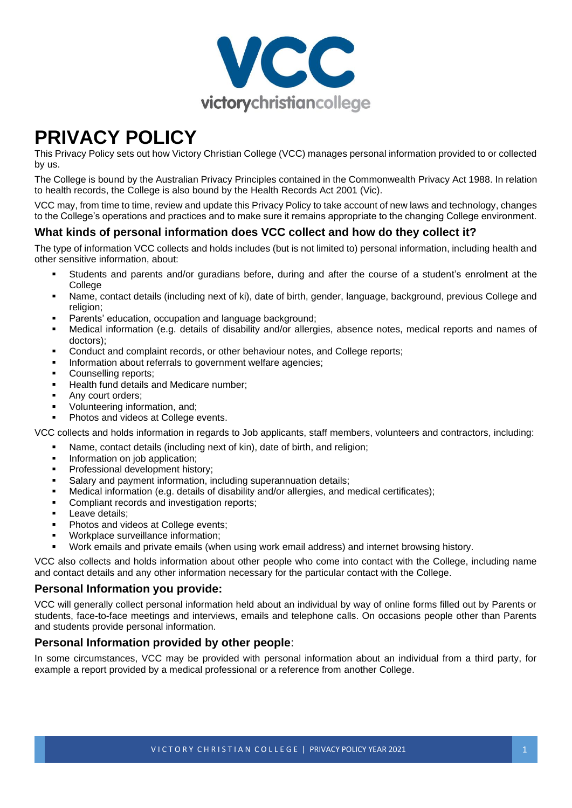

# **PRIVACY POLICY**

This Privacy Policy sets out how Victory Christian College (VCC) manages personal information provided to or collected by us.

The College is bound by the Australian Privacy Principles contained in the Commonwealth Privacy Act 1988. In relation to health records, the College is also bound by the Health Records Act 2001 (Vic).

VCC may, from time to time, review and update this Privacy Policy to take account of new laws and technology, changes to the College's operations and practices and to make sure it remains appropriate to the changing College environment.

## **What kinds of personal information does VCC collect and how do they collect it?**

The type of information VCC collects and holds includes (but is not limited to) personal information, including health and other sensitive information, about:

- Students and parents and/or guradians before, during and after the course of a student's enrolment at the **College**
- Name, contact details (including next of ki), date of birth, gender, language, background, previous College and religion;
- Parents' education, occupation and language background;
- Medical information (e.g. details of disability and/or allergies, absence notes, medical reports and names of doctors);
- Conduct and complaint records, or other behaviour notes, and College reports;
- Information about referrals to government welfare agencies;
- Counselling reports;
- Health fund details and Medicare number;
- Any court orders:
- Volunteering information, and:
- Photos and videos at College events.

VCC collects and holds information in regards to Job applicants, staff members, volunteers and contractors, including:

- Name, contact details (including next of kin), date of birth, and religion;
- Information on job application;
- Professional development history;
- Salary and payment information, including superannuation details;
- Medical information (e.g. details of disability and/or allergies, and medical certificates);
- Compliant records and investigation reports;
- **•** Leave details;
- Photos and videos at College events;
- Workplace surveillance information;
- Work emails and private emails (when using work email address) and internet browsing history.

VCC also collects and holds information about other people who come into contact with the College, including name and contact details and any other information necessary for the particular contact with the College.

## **Personal Information you provide:**

VCC will generally collect personal information held about an individual by way of online forms filled out by Parents or students, face-to-face meetings and interviews, emails and telephone calls. On occasions people other than Parents and students provide personal information.

## **Personal Information provided by other people**:

In some circumstances, VCC may be provided with personal information about an individual from a third party, for example a report provided by a medical professional or a reference from another College.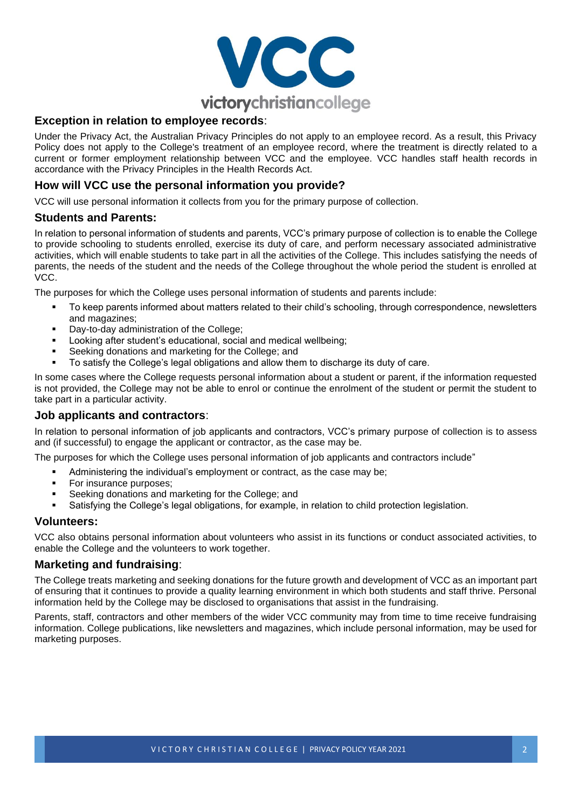

## **Exception in relation to employee records**:

Under the Privacy Act, the Australian Privacy Principles do not apply to an employee record. As a result, this Privacy Policy does not apply to the College's treatment of an employee record, where the treatment is directly related to a current or former employment relationship between VCC and the employee. VCC handles staff health records in accordance with the Privacy Principles in the Health Records Act.

# **How will VCC use the personal information you provide?**

VCC will use personal information it collects from you for the primary purpose of collection.

#### **Students and Parents:**

In relation to personal information of students and parents, VCC's primary purpose of collection is to enable the College to provide schooling to students enrolled, exercise its duty of care, and perform necessary associated administrative activities, which will enable students to take part in all the activities of the College. This includes satisfying the needs of parents, the needs of the student and the needs of the College throughout the whole period the student is enrolled at VCC.

The purposes for which the College uses personal information of students and parents include:

- To keep parents informed about matters related to their child's schooling, through correspondence, newsletters and magazines;
- Day-to-day administration of the College:
- Looking after student's educational, social and medical wellbeing;
- Seeking donations and marketing for the College; and
- To satisfy the College's legal obligations and allow them to discharge its duty of care.

In some cases where the College requests personal information about a student or parent, if the information requested is not provided, the College may not be able to enrol or continue the enrolment of the student or permit the student to take part in a particular activity.

## **Job applicants and contractors**:

In relation to personal information of job applicants and contractors, VCC's primary purpose of collection is to assess and (if successful) to engage the applicant or contractor, as the case may be.

The purposes for which the College uses personal information of job applicants and contractors include"

- Administering the individual's employment or contract, as the case may be;
- For insurance purposes;
- Seeking donations and marketing for the College; and
- Satisfying the College's legal obligations, for example, in relation to child protection legislation.

#### **Volunteers:**

VCC also obtains personal information about volunteers who assist in its functions or conduct associated activities, to enable the College and the volunteers to work together.

## **Marketing and fundraising**:

The College treats marketing and seeking donations for the future growth and development of VCC as an important part of ensuring that it continues to provide a quality learning environment in which both students and staff thrive. Personal information held by the College may be disclosed to organisations that assist in the fundraising.

Parents, staff, contractors and other members of the wider VCC community may from time to time receive fundraising information. College publications, like newsletters and magazines, which include personal information, may be used for marketing purposes.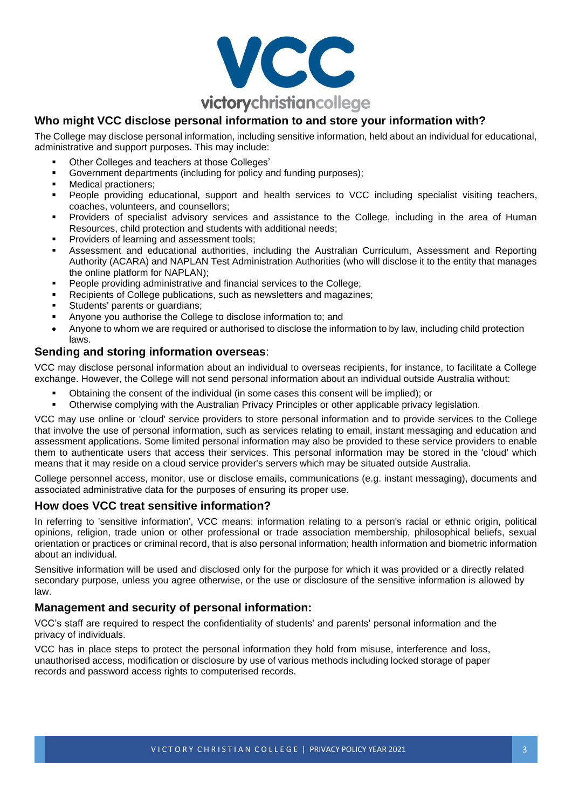

# **Who might VCC disclose personal information to and store your information with?**

The College may disclose personal information, including sensitive information, held about an individual for educational, administrative and support purposes. This may include:

- Other Colleges and teachers at those Colleges'
- Government departments (including for policy and funding purposes);
- Medical practioners;
- People providing educational, support and health services to VCC including specialist visiting teachers, coaches, volunteers, and counsellors;
- Providers of specialist advisory services and assistance to the College, including in the area of Human Resources, child protection and students with additional needs;
- Providers of learning and assessment tools;
- Assessment and educational authorities, including the Australian Curriculum, Assessment and Reporting Authority (ACARA) and NAPLAN Test Administration Authorities (who will disclose it to the entity that manages the online platform for NAPLAN);
- People providing administrative and financial services to the College;
- Recipients of College publications, such as newsletters and magazines;
- Students' parents or guardians;
- Anyone you authorise the College to disclose information to; and
- Anyone to whom we are required or authorised to disclose the information to by law, including child protection laws.

# **Sending and storing information overseas**:

VCC may disclose personal information about an individual to overseas recipients, for instance, to facilitate a College exchange. However, the College will not send personal information about an individual outside Australia without:

- Obtaining the consent of the individual (in some cases this consent will be implied); or
- Otherwise complying with the Australian Privacy Principles or other applicable privacy legislation.

VCC may use online or 'cloud' service providers to store personal information and to provide services to the College that involve the use of personal information, such as services relating to email, instant messaging and education and assessment applications. Some limited personal information may also be provided to these service providers to enable them to authenticate users that access their services. This personal information may be stored in the 'cloud' which means that it may reside on a cloud service provider's servers which may be situated outside Australia.

College personnel access, monitor, use or disclose emails, communications (e.g. instant messaging), documents and associated administrative data for the purposes of ensuring its proper use.

#### **How does VCC treat sensitive information?**

In referring to 'sensitive information', VCC means: information relating to a person's racial or ethnic origin, political opinions, religion, trade union or other professional or trade association membership, philosophical beliefs, sexual orientation or practices or criminal record, that is also personal information; health information and biometric information about an individual.

Sensitive information will be used and disclosed only for the purpose for which it was provided or a directly related secondary purpose, unless you agree otherwise, or the use or disclosure of the sensitive information is allowed by law.

#### **Management and security of personal information:**

VCC's staff are required to respect the confidentiality of students' and parents' personal information and the privacy of individuals.

VCC has in place steps to protect the personal information they hold from misuse, interference and loss, unauthorised access, modification or disclosure by use of various methods including locked storage of paper records and password access rights to computerised records.